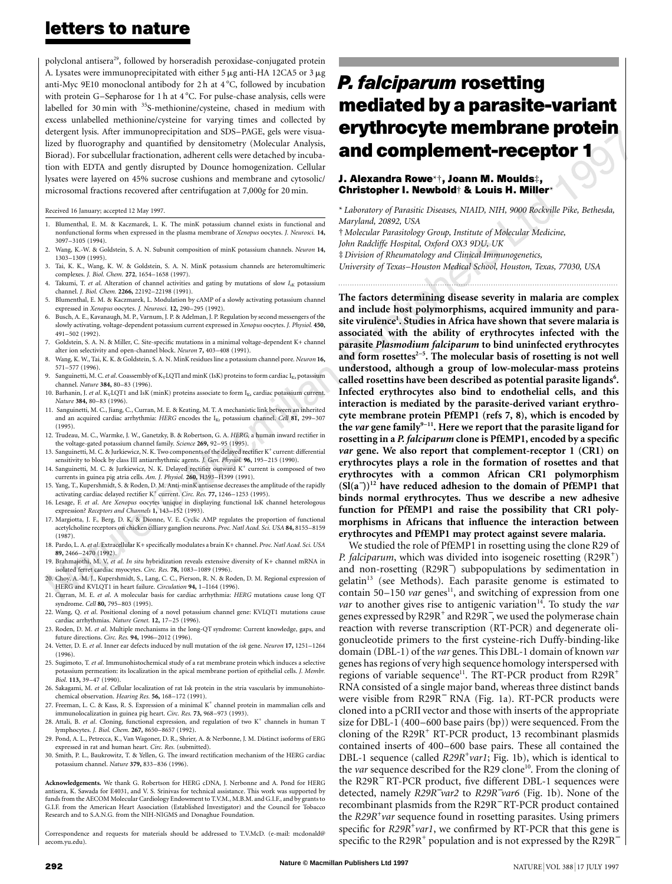## **letters to nature**

polyclonal antisera<sup>29</sup>, followed by horseradish peroxidase-conjugated protein A. Lysates were immunoprecipitated with either 5  $\mu$ g anti-HA 12CA5 or 3  $\mu$ g anti-Myc 9E10 monoclonal antibody for 2 h at  $4^{\circ}$ C, followed by incubation with protein G-Sepharose for 1 h at 4 °C. For pulse-chase analysis, cells were labelled for 30 min with <sup>35</sup>S-methionine/cysteine, chased in medium with excess unlabelled methionine/cysteine for varying times and collected by detergent lysis. After immunoprecipitation and SDS–PAGE, gels were visualized by fluorography and quantified by densitometry (Molecular Analysis, Biorad). For subcellular fractionation, adherent cells were detached by incubation with EDTA and gently disrupted by Dounce homogenization. Cellular lysates were layered on 45% sucrose cushions and membrane and cytosolic/ microsomal fractions recovered after centrifugation at 7,000*g* for 20 min.

Received 16 January; accepted 12 May 1997.

- 1. Blumenthal, E. M. & Kaczmarek, L. K. The minK potassium channel exists in functional and nonfunctional forms when expressed in the plasma membrane of *Xenopus* oocytes. *J. Neurosci.* **14,** 3097–3105 (1994).
- 2. Wang, K.-W. & Goldstein, S. A. N. Subunit composition of minK potassium channels. *Neuron* **14,** 1303–1309 (1995).
- 3. Tai, K. K., Wang, K. W. & Goldstein, S. A. N. MinK potassium channels are heteromultimeric complexes. *J. Biol. Chem.* **272**, 1654–1658 (1997).
- 4. Takumi, T. *et al.* Alteration of channel activities and gating by mutations of slow  $I_{\rm sK}$  potassium channel. *J. Biol. Chem.* **2266,** 22192–22198 (1991).
- 5. Blumenthal, E. M. & Kaczmarek, L. Modulation by cAMP of a slowly activating potassium channel expressed in *Xenopus* oocytes. *J. Neurosci.* **12,** 290–295 (1992).
- 6. Busch, A. E., Kavanaugh, M. P., Varnum, J. P. & Adelman, J. P. Regulation by second messengers of the slowly activating, voltage-dependent potassium current expressed in *Xenopus* oocytes. *J. Physiol.* **450,** 491–502 (1992).
- 7. Goldstein, S. A. N. & Miller, C. Site-specific mutations in a minimal voltage-dependent K+ channel alter ion selectivity and open-channel block. *Neuron* **7,** 403–408 (1991).
- 8. Wang, K. W., Tai, K. K. & Goldstein, S. A. N. MinK residues line a potassium channel pore. *Neuron* **16,** 571–577 (1996).
- 9. Sanguinetti, M. C. et al. Coassembly of K<sub>V</sub>LQTl and minK (IsK) proteins to form cardiac I<sub>Ks</sub> potassium channel. *Nature* **384,** 80–83 (1996).
- 10. Barhanin, J. *et al.* K<sub>V</sub>LQT1 and IsK (minK) proteins associate to form I<sub>Ks</sub> cardiac potassium current. *Nature* **384,** 80–83 (1996).
- 11. Sanguinetti, M. C., Jiang, C., Curran, M. E. & Keating, M. T. A mechanistic link between an inherited and an acquired cardiac arrhythmia: *HERG* encodes the I<sub>Kr</sub> potassium channel. *Cell* 81, 299-307 (1995).
- 12. Trudeau, M. C., Warmke, J. W., Ganetzky, B. & Robertson, G. A. *HERG*, a human inward rectifier in the voltage-gated potassium channel family. *Science* **269,** 92–95 (1995).
- 13. Sanguinetti, M. C. & Jurkiewicz, N. K. Two components of the delayed rectifier K<sup>+</sup> current: differential sensitivity to block by class III antiarrhythmic agents. *J. Gen. Physiol.* **96,** 195–215 (1990).
- 14. Sanguinetti, M. C. & Jurkiewicz, N. K. Delayed rectifier outward K<sup>+</sup> current is composed of two currents in guinea pig atria cells. *Am. J. Physiol.* **260,** H393–H399 (1991).
- 15. Yang, T., Kupershmidt, S. & Roden, D. M. Anti-minK antisense decreases the amplitude of the rapidly activating cardiac delayed rectifier K+ current. *Circ. Res.* **77,** 1246–1253 (1995).
- 16. Lesage, F. *et al*. Are *Xenopus* oocytes unique in displaying functional IsK channel heterologous expression? *Receptors and Channels* **1,** 143–152 (1993).
- 17. Margiotta, J. F., Berg, D. K. & Dionne, V. E. Cyclic AMP regulates the proportion of functional acetylcholine receptors on chicken cilliary ganglion neurons. *Proc. Natl Acad. Sci. USA* **84,** 8155–8159 (1987).
- 18. Pardo, L. A.*et al*. Extracellular K+ specifically modulates a brain K+ channel. *Proc. Natl Acad. Sci. USA* **89,** 2466–2470 (1992).
- 19. Brahmajothi, M. V. *et al*. *In situ* hybridization reveals extensive diversity of K+ channel mRNA in isolated ferret cardiac myocytes. *Circ. Res.* **78,** 1083–1089 (1996).
- 20. Choy, A.-M. J., Kupershmidt, S., Lang, C. C., Pierson, R. N. & Roden, D. M. Regional expression of HERG and KVLQT1 in heart failure. *Circulation* **94,** 1–I164 (1996).
- 21. Curran, M. E. *et al*. A molecular basis for cardiac arrhythmia: *HERG* mutations cause long QT syndrome. *Cell* **80,** 795–803 (1995).
- 22. Wang, Q. *et al*. Positional cloning of a novel potassium channel gene: KVLQT1 mutations cause cardiac arrhythmias. *Nature Genet.* **12,** 17–25 (1996).
- 23. Roden, D. M. *et al*. Multiple mechanisms in the long-QT syndrome: Current knowledge, gaps, and future directions. *Circ. Res.* **94,** 1996–2012 (1996).
- 24. Vetter, D. E. *et al*. Inner ear defects induced by null mutation of the *isk* gene. *Neuron* **17,** 1251–1264 (1996).
- 25. Sugimoto, T. *et al*. Immunohistochemical study of a rat membrane protein which induces a selective potassium permeation: its localization in the apical membrane portion of epithelial cells. *J. Membr. Biol.* **113,** 39–47 (1990).
- 26. Sakagami, M. *et al*. Cellular localization of rat Isk protein in the stria vascularis by immunohistochemical observation. *Hearing Res.* **56,** 168–172 (1991).
- 27. Freeman, L. C. & Kass, R. S. Expression of a minimal  $K^+$  channel protein in mammalian cells and immunolocalization in guinea pig heart. *Circ. Res.* **73,** 968–973 (1993).
- 28. Attali, B. et al. Cloning, functional expression, and regulation of two K<sup>+</sup> channels in human T lymphocytes. *J. Biol. Chem.* **267,** 8650–8657 (1992).
- 29. Pond, A. L., Petrecca, K., Van Wagoner, D. R., Shrier, A. & Nerbonne, J. M. Distinct isoforms of ERG expressed in rat and human heart. *Circ. Res.* (submitted).
- 30. Smith, P. L., Baukrowitz, T. & Yellen, G. The inward rectification mechanism of the HERG cardiac potassium channel. *Nature* **379,** 833–836 (1996).

**Acknowledgements.** We thank G. Robertson for HERG cDNA, J. Nerbonne and A. Pond for HERG antisera, K. Sawada for E4031, and V. S. Srinivas for technical assistance. This work was supported by funds from the AECOM Molecular Cardiology Endowment to T.V.M., M.B.M. and G.I.F., and by grants to G.I.F. from the American Heart Association (Established Investigator) and the Council for Tobacco Research and to S.A.N.G. from the NIH-NIGMS and Donaghue Foundation.

Correspondence and requests for materials should be addressed to T.V.McD. (e-mail: mcdonald@ aecom.yu.edu).

# *P. falciparum* **rosetting mediated by a parasite-variant erythrocyte membrane protein and complement-receptor 1**

#### **J. Alexandra Rowe**\*†**, Joann M. Moulds**‡**, Christopher I. Newbold**† **& Louis H. Miller**\*

\* *Laboratory of Parasitic Diseases, NIAID, NIH, 9000 Rockville Pike, Bethesda, Maryland, 20892, USA*

† *Molecular Parasitology Group, Institute of Molecular Medicine,*

*John Radcliffe Hospital, Oxford OX3 9DU, UK*

‡ *Division of Rheumatology and Clinical Immunogenetics,*

*University of Texas–Houston Medical School, Houston, Texas, 77030, USA*

*.........................................................................................................................*

**The factors determining disease severity in malaria are complex and include host polymorphisms, acquired immunity and parasite virulence<sup>1</sup> . Studies in Africa have shown that severe malaria is associated with the ability of erythrocytes infected with the parasite** *Plasmodium falciparum* **to bind uninfected erythrocytes** and form rosettes<sup>2-5</sup>. The molecular basis of rosetting is not well **understood, although a group of low-molecular-mass proteins** called rosettins have been described as potential parasite ligands<sup>6</sup>. **Infected erythrocytes also bind to endothelial cells, and this interaction is mediated by the parasite-derived variant erythrocyte membrane protein PfEMP1 (refs 7, 8), which is encoded by the** *var* **gene family9–11. Here we report that the parasite ligand for rosetting in a** *P. falciparum* **clone is PfEMP1, encoded by a specific** *var* **gene. We also report that complement-receptor 1 (CR1) on erythrocytes plays a role in the formation of rosettes and that erythrocytes with a common African CR1 polymorphism (Sl(a**<sup>−</sup> **))<sup>12</sup> have reduced adhesion to the domain of PfEMP1 that binds normal erythrocytes. Thus we describe a new adhesive function for PfEMP1 and raise the possibility that CR1 polymorphisms in Africans that influence the interaction between erythrocytes and PfEMP1 may protect against severe malaria.**

We studied the role of PfEMP1 in rosetting using the clone R29 of P. falciparum, which was divided into isogeneic rosetting (R29R<sup>+</sup>) and non-rosetting (R29R<sup>−</sup> ) subpopulations by sedimentation in  $gelatin<sup>13</sup>$  (see Methods). Each parasite genome is estimated to contain 50–150 *var* genes<sup>11</sup>, and switching of expression from one *var* to another gives rise to antigenic variation<sup>14</sup>. To study the *var* genes expressed by R29R<sup>+</sup> and R29R<sup>−</sup>, we used the polymerase chain reaction with reverse transcription (RT-PCR) and degenerate oligonucleotide primers to the first cysteine-rich Duffy-binding-like domain (DBL-1) of the *var* genes. This DBL-1 domain of known *var* genes has regions of very high sequence homology interspersed with regions of variable sequence<sup>11</sup>. The RT-PCR product from R29R<sup>+</sup> RNA consisted of a single major band, whereas three distinct bands were visible from R29R<sup>−</sup> RNA (Fig. 1a). RT-PCR products were cloned into a pCRII vector and those with inserts of the appropriate size for DBL-1 (400–600 base pairs (bp)) were sequenced. From the cloning of the  $R29R<sup>+</sup> RT-PCR product$ , 13 recombinant plasmids contained inserts of 400–600 base pairs. These all contained the DBL-1 sequence (called *R29R<sup>+</sup>var1*; Fig. 1b), which is identical to the *var* sequence described for the R29 clone<sup>10</sup>. From the cloning of the R29R<sup>−</sup> RT-PCR product, five different DBL-1 sequences were detected, namely *R29R*<sup>−</sup> *var2* to *R29R*<sup>−</sup> *var6* (Fig. 1b). None of the recombinant plasmids from the R29R<sup>−</sup> RT-PCR product contained the *R29R+ var* sequence found in rosetting parasites. Using primers specific for *R29R<sup>+</sup>var1*, we confirmed by RT-PCR that this gene is specific to the R29R<sup>+</sup> population and is not expressed by the R29R<sup> $-$ </sup>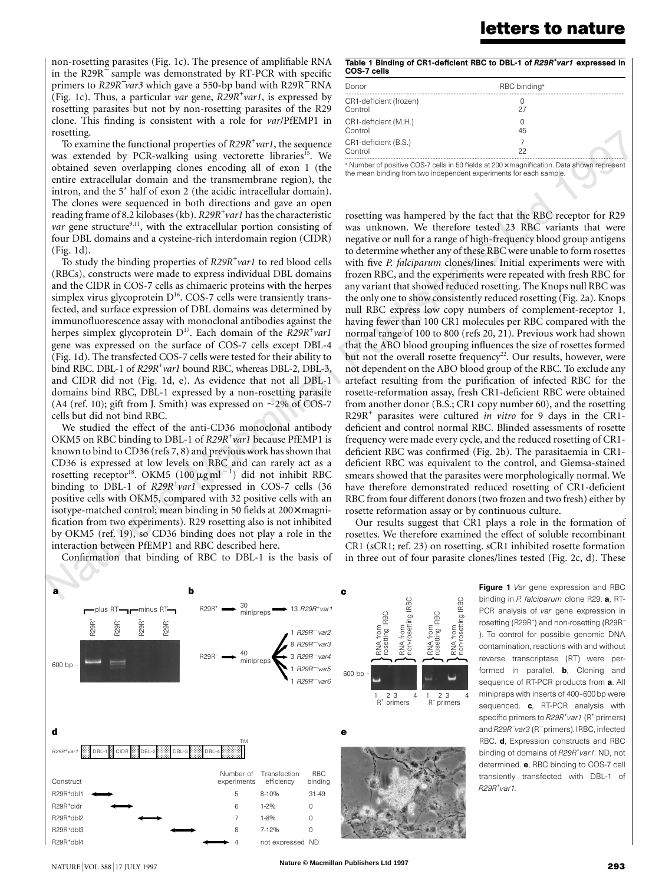### **letters to nature**

non-rosetting parasites (Fig. 1c). The presence of amplifiable RNA in the R29R<sup>−</sup> sample was demonstrated by RT-PCR with specific primers to *R29R<sup>−</sup>var3* which gave a 550-bp band with R29R<sup>−</sup> RNA (Fig. 1c). Thus, a particular *var* gene, *R29R+ var1*, is expressed by rosetting parasites but not by non-rosetting parasites of the R29 clone. This finding is consistent with a role for *var*/PfEMP1 in rosetting.

To examine the functional properties of *R29R+ var1*, the sequence was extended by PCR-walking using vectorette libraries<sup>15</sup>. We obtained seven overlapping clones encoding all of exon 1 (the entire extracellular domain and the transmembrane region), the intron, and the 5' half of exon 2 (the acidic intracellular domain). The clones were sequenced in both directions and gave an open reading frame of 8.2 kilobases(kb). *R29R+ var1* has the characteristic *var* gene structure<sup>9,11</sup>, with the extracellular portion consisting of four DBL domains and a cysteine-rich interdomain region (CIDR) (Fig. 1d).

To study the binding properties of *R29R+ var1* to red blood cells (RBCs), constructs were made to express individual DBL domains and the CIDR in COS-7 cells as chimaeric proteins with the herpes simplex virus glycoprotein  $D^{16}$ . COS-7 cells were transiently transfected, and surface expression of DBL domains was determined by immunofluorescence assay with monoclonal antibodies against the herpes simplex glycoprotein D17. Each domain of the *R29R+ var1* gene was expressed on the surface of COS-7 cells except DBL-4 (Fig. 1d). The transfected COS-7 cells were tested for their ability to bind RBC. DBL-1 of *R29R<sup>+</sup>var1* bound RBC, whereas DBL-2, DBL-3, and CIDR did not (Fig. 1d, e). As evidence that not all DBL-1 domains bind RBC, DBL-1 expressed by a non-rosetting parasite (A4 (ref. 10); gift from J. Smith) was expressed on  $\sim$ 2% of COS-7 cells but did not bind RBC.

We studied the effect of the anti-CD36 monoclonal antibody OKM5 on RBC binding to DBL-1 of *R29R+ var1* because PfEMP1 is known to bind to CD36 (refs 7, 8) and previous work hasshown that CD36 is expressed at low levels on RBC and can rarely act as a rosetting receptor<sup>18</sup>. OKM5 (100  $\mu$ g ml<sup>-1</sup>) did not inhibit RBC binding to DBL-1 of *R29R+ var1* expressed in COS-7 cells (36 positive cells with OKM5, compared with 32 positive cells with an isotype-matched control; mean binding in 50 fields at 200× magnification from two experiments). R29 rosetting also is not inhibited by OKM5 (ref. 19), so CD36 binding does not play a role in the interaction between PfEMP1 and RBC described here.

Confirmation that binding of RBC to DBL-1 is the basis of

Table 1 Binding of CR1-deficient RBC to DBL-1 of *R29R+ var1* expressed in COS-7 cells

| Donor                             | RBC binding*                                                                              |  |
|-----------------------------------|-------------------------------------------------------------------------------------------|--|
| CR1-deficient (frozen)<br>Control | 27                                                                                        |  |
| CR1-deficient (M.H.)<br>Control   | 45                                                                                        |  |
| CR1-deficient (B.S.)<br>Control   | 22                                                                                        |  |
|                                   | $\mathbf{r} \cdot \mathbf{r} = \mathbf{r} \cdot \mathbf{r} = \mathbf{r} \cdot \mathbf{r}$ |  |

Number of positive COS-7 cells in 50 fields at  $200 \times$  magnification. Data shown represent the mean binding from two independent experiments for each sample.

rosetting was hampered by the fact that the RBC receptor for R29 was unknown. We therefore tested 23 RBC variants that were negative or null for a range of high-frequency blood group antigens to determine whether any of these RBC were unable to form rosettes with five *P. falciparum* clones/lines. Initial experiments were with frozen RBC, and the experiments were repeated with fresh RBC for any variant that showed reduced rosetting. The Knops null RBC was the only one to show consistently reduced rosetting (Fig. 2a). Knops null RBC express low copy numbers of complement-receptor 1, having fewer than 100 CR1 molecules per RBC compared with the normal range of 100 to 800 (refs 20, 21). Previous work had shown that the ABO blood grouping influences the size of rosettes formed but not the overall rosette frequency<sup>22</sup>. Our results, however, were not dependent on the ABO blood group of the RBC. To exclude any artefact resulting from the purification of infected RBC for the rosette-reformation assay, fresh CR1-deficient RBC were obtained from another donor (B.S.; CR1 copy number 60), and the rosetting R29R<sup>+</sup> parasites were cultured *in vitro* for 9 days in the CR1 deficient and control normal RBC. Blinded assessments of rosette frequency were made every cycle, and the reduced rosetting of CR1 deficient RBC was confirmed (Fig. 2b). The parasitaemia in CR1 deficient RBC was equivalent to the control, and Giemsa-stained smears showed that the parasites were morphologically normal. We have therefore demonstrated reduced rosetting of CR1-deficient RBC from four different donors(two frozen and two fresh) either by rosette reformation assay or by continuous culture.

Our results suggest that CR1 plays a role in the formation of rosettes. We therefore examined the effect of soluble recombinant CR1 (sCR1; ref. 23) on rosetting. sCR1 inhibited rosette formation in three out of four parasite clones/lines tested (Fig. 2c, d). These



**Figure 1** *Var* gene expression and RBC binding in *P. falciparum* clone R29. a, RT-PCR analysis of *var* gene expression in rosetting (R29R<sup>+</sup>) and non-rosetting (R29R<sup>-</sup> ). To control for possible genomic DNA contamination, reactions with and without reverse transcriptase (RT) were performed in parallel. **b**, Cloning and sequence of RT-PCR products from a. All minipreps with inserts of 400–600 bp were sequenced. c, RT-PCR analysis with specific primers to  $R29R$ <sup>+</sup>var1 (R<sup>+</sup> primers) and *R29R*<sup>−</sup> *var3* (R<sup>−</sup> primers). IRBC, infected RBC. d, Expression constructs and RBC binding of domains of *R29R<sup>+</sup> var1*. ND, not determined. e, RBC binding to COS-7 cell transiently transfected with DBL-1 of *R29R<sup>+</sup> var1*.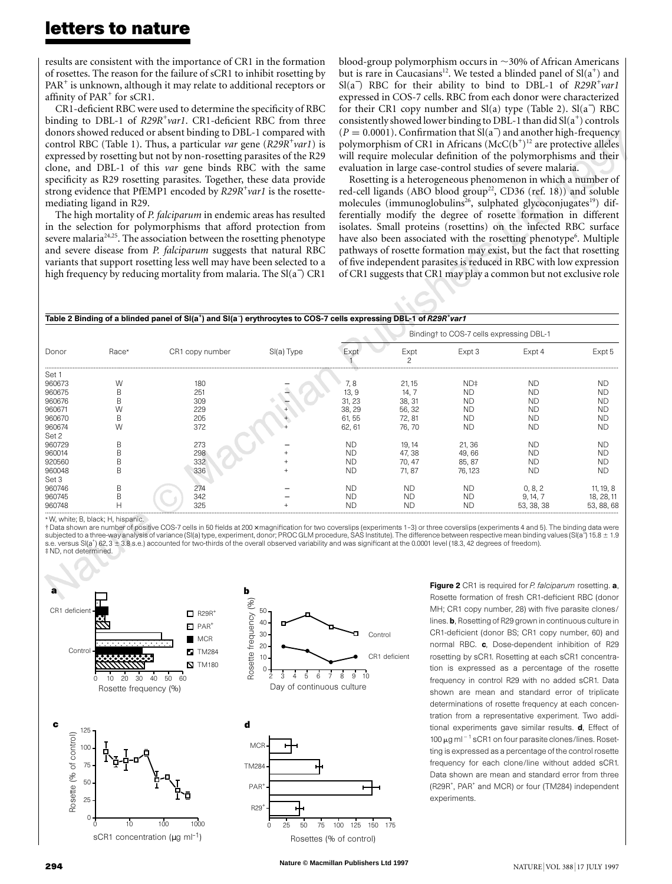results are consistent with the importance of CR1 in the formation of rosettes. The reason for the failure of sCR1 to inhibit rosetting by PAR<sup>+</sup> is unknown, although it may relate to additional receptors or affinity of  $PAR<sup>+</sup>$  for sCR1.

CR1-deficient RBC were used to determine the specificity of RBC binding to DBL-1 of *R29R+ var1*. CR1-deficient RBC from three donors showed reduced or absent binding to DBL-1 compared with control RBC (Table 1). Thus, a particular *var* gene (*R29R+ var1*) is expressed by rosetting but not by non-rosetting parasites of the R29 clone, and DBL-1 of this *var* gene binds RBC with the same specificity as R29 rosetting parasites. Together, these data provide strong evidence that PfEMP1 encoded by *R29R+ var1* is the rosettemediating ligand in R29.

The high mortality of *P. falciparum* in endemic areas has resulted in the selection for polymorphisms that afford protection from severe malaria<sup> $24,25$ </sup>. The association between the rosetting phenotype and severe disease from *P. falciparum* suggests that natural RBC variants that support rosetting less well may have been selected to a high frequency by reducing mortality from malaria. The Sl(a<sup>−</sup> ) CR1

blood-group polymorphism occurs in  $\sim$ 30% of African Americans but is rare in Caucasians<sup>12</sup>. We tested a blinded panel of  $Sl(a<sup>+</sup>)$  and Sl(a<sup>−</sup> ) RBC for their ability to bind to DBL-1 of *R29R+ var1* expressed in COS-7 cells. RBC from each donor were characterized for their CR1 copy number and Sl(a) type (Table 2). Sl(a<sup>−</sup> ) RBC consistently showed lower binding to DBL-1 than did  $Sl(a^+)$  controls  $(P = 0.0001)$ . Confirmation that Sl(a<sup>-</sup>) and another high-frequency polymorphism of CR1 in Africans (McC(b<sup>+</sup>)<sup>12</sup> are protective alleles will require molecular definition of the polymorphisms and their evaluation in large case-control studies of severe malaria.

Rosetting is a heterogeneous phenomenon in which a number of red-cell ligands (ABO blood group<sup>22</sup>, CD36 (ref. 18)) and soluble molecules (immunoglobulins<sup>26</sup>, sulphated glycoconjugates<sup>19</sup>) differentially modify the degree of rosette formation in different isolates. Small proteins (rosettins) on the infected RBC surface have also been associated with the rosetting phenotype<sup>6</sup>. Multiple pathways of rosette formation may exist, but the fact that rosetting of five independent parasites is reduced in RBC with low expression of CR1 suggests that CR1 may play a common but not exclusive role

| Table 2 Binding of a blinded panel of SI(a <sup>+</sup> ) and SI(a <sup>-</sup> ) erythrocytes to COS-7 cells expressing DBL-1 of R29R <sup>+</sup> var1 |  |
|----------------------------------------------------------------------------------------------------------------------------------------------------------|--|
|                                                                                                                                                          |  |

| Donor  |       |                 |            | Binding† to COS-7 cells expressing DBL-1 |           |           |            |            |
|--------|-------|-----------------|------------|------------------------------------------|-----------|-----------|------------|------------|
|        | Race* | CR1 copy number | SI(a) Type | Fxn                                      | Expt      | Expt 3    | Expt 4     | Expt 5     |
| Set 1  |       |                 |            |                                          |           |           |            |            |
| 960673 | W     | 180             |            | 7, 8                                     | 21, 15    | ND‡       | <b>ND</b>  | ND.        |
| 960675 |       | 251             |            | 13, 9                                    | 14. 7     | ND        | <b>ND</b>  | ND.        |
| 960676 |       | 309             |            | 31, 23                                   | 38, 31    | <b>ND</b> | <b>ND</b>  | <b>ND</b>  |
| 960671 |       | 229             |            | 38, 29                                   | 56, 32    | <b>ND</b> | <b>ND</b>  | <b>ND</b>  |
| 960670 | B     | 205             |            | 61, 55                                   | 72, 81    | <b>ND</b> | <b>ND</b>  | <b>ND</b>  |
| 960674 | W     | 372             |            | 62, 61                                   | 76.70     | <b>ND</b> | <b>ND</b>  | <b>ND</b>  |
| Set 2  |       |                 |            |                                          |           |           |            |            |
| 960729 | R     | 273             |            | <b>ND</b>                                | 19, 14    | 21, 36    | <b>ND</b>  | ND.        |
| 960014 |       | 298             |            | ND                                       | 47, 38    | 49,66     | <b>ND</b>  | ND.        |
| 920560 |       | 332             |            | ND                                       | 70, 47    | 85, 87    | <b>ND</b>  | <b>ND</b>  |
| 960048 | B     | 336             |            | <b>ND</b>                                | 71, 87    | 76, 123   | <b>ND</b>  | <b>ND</b>  |
| Set 3  |       |                 |            |                                          |           |           |            |            |
| 960746 | B     | 274             |            | <b>ND</b>                                | <b>ND</b> | <b>ND</b> | 0, 8, 2    | 11, 19, 8  |
| 960745 |       | 342             |            | ND                                       | <b>ND</b> | ND        | 9, 14, 7   | 18, 28, 11 |
| 960748 |       | 325             |            | ND.                                      | ND.       | ND        | 53, 38, 38 | 53, 88, 68 |

\* W, white; B, black; H, hispanic.

† Data shown are number of positive COS-7 cells in 50 fields at 200 × magnification for two coverslips (experiments 1–3) or three coverslips (experiments 4 and 5). The binding data were subjected to a three-way analysis of variance (Sl(a) type, experiment, donor; PROC GLM procedure, SAS Institute). The difference between respective mean binding values (Sl(a−) 15.8 ± 1.9 s.e. versus Sl(a<sup>+</sup>) 62, 3 ± 3.8 s.e.) accounted for two-thirds of the overall observed variability and was significant at the 0.0001 level (18.3, 42 degrees of freedom). ‡ ND, not determined.



Figure 2 CR1 is required for *P. falciparum* rosetting. a, Rosette formation of fresh CR1-deficient RBC (donor MH; CR1 copy number, 28) with five parasite clones/ lines. b, Rosetting of R29 grown in continuous culture in CR1-deficient (donor BS; CR1 copy number, 60) and normal RBC. c, Dose-dependent inhibition of R29 rosetting by sCR1. Rosetting at each sCR1 concentration is expressed as a percentage of the rosette frequency in control R29 with no added sCR1. Data shown are mean and standard error of triplicate determinations of rosette frequency at each concentration from a representative experiment. Two additional experiments gave similar results. d, Effect of  $100 \mu$ g ml<sup> $-1$ </sup> sCR1 on four parasite clones/lines. Rosetting is expressed as a percentage of the control rosette frequency for each clone/line without added sCR1. Data shown are mean and standard error from three (R29R<sup>+</sup>, PAR<sup>+</sup> and MCR) or four (TM284) independent experiments.

**Nature © Macmillan Publishers Ltd 1997**